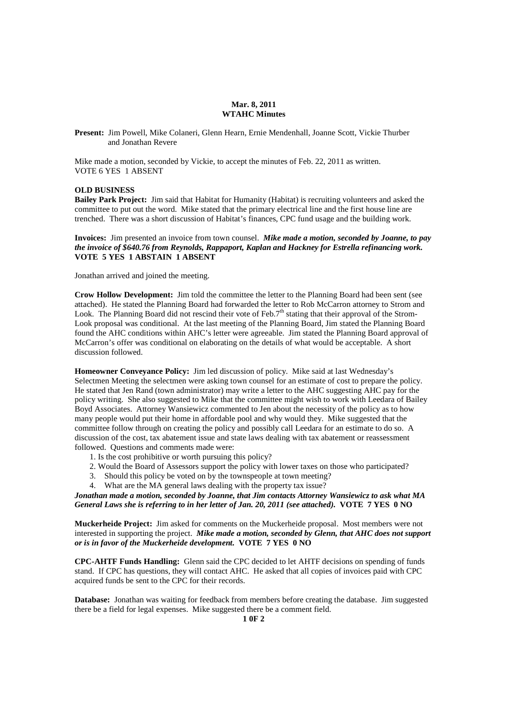### **Mar. 8, 2011 WTAHC Minutes**

**Present:** Jim Powell, Mike Colaneri, Glenn Hearn, Ernie Mendenhall, Joanne Scott, Vickie Thurber and Jonathan Revere

Mike made a motion, seconded by Vickie, to accept the minutes of Feb. 22, 2011 as written. VOTE 6 YES 1 ABSENT

#### **OLD BUSINESS**

**Bailey Park Project:** Jim said that Habitat for Humanity (Habitat) is recruiting volunteers and asked the committee to put out the word. Mike stated that the primary electrical line and the first house line are trenched. There was a short discussion of Habitat's finances, CPC fund usage and the building work.

**Invoices:** Jim presented an invoice from town counsel. *Mike made a motion, seconded by Joanne, to pay the invoice of \$640.76 from Reynolds, Rappaport, Kaplan and Hackney for Estrella refinancing work.*  **VOTE 5 YES 1 ABSTAIN 1 ABSENT** 

Jonathan arrived and joined the meeting.

**Crow Hollow Development:** Jim told the committee the letter to the Planning Board had been sent (see attached). He stated the Planning Board had forwarded the letter to Rob McCarron attorney to Strom and Look. The Planning Board did not rescind their vote of Feb.7<sup>th</sup> stating that their approval of the Strom-Look proposal was conditional. At the last meeting of the Planning Board, Jim stated the Planning Board found the AHC conditions within AHC's letter were agreeable. Jim stated the Planning Board approval of McCarron's offer was conditional on elaborating on the details of what would be acceptable. A short discussion followed.

**Homeowner Conveyance Policy:** Jim led discussion of policy. Mike said at last Wednesday's Selectmen Meeting the selectmen were asking town counsel for an estimate of cost to prepare the policy. He stated that Jen Rand (town administrator) may write a letter to the AHC suggesting AHC pay for the policy writing. She also suggested to Mike that the committee might wish to work with Leedara of Bailey Boyd Associates. Attorney Wansiewicz commented to Jen about the necessity of the policy as to how many people would put their home in affordable pool and why would they. Mike suggested that the committee follow through on creating the policy and possibly call Leedara for an estimate to do so. A discussion of the cost, tax abatement issue and state laws dealing with tax abatement or reassessment followed. Questions and comments made were:

- 1. Is the cost prohibitive or worth pursuing this policy?
- 2. Would the Board of Assessors support the policy with lower taxes on those who participated?
- 3. Should this policy be voted on by the townspeople at town meeting?
- 4. What are the MA general laws dealing with the property tax issue?

*Jonathan made a motion, seconded by Joanne, that Jim contacts Attorney Wansiewicz to ask what MA General Laws she is referring to in her letter of Jan. 20, 2011 (see attached).* **VOTE 7 YES 0 NO** 

**Muckerheide Project:** Jim asked for comments on the Muckerheide proposal. Most members were not interested in supporting the project. *Mike made a motion, seconded by Glenn, that AHC does not support or is in favor of the Muckerheide development.* **VOTE 7 YES 0 NO** 

**CPC-AHTF Funds Handling:** Glenn said the CPC decided to let AHTF decisions on spending of funds stand. If CPC has questions, they will contact AHC. He asked that all copies of invoices paid with CPC acquired funds be sent to the CPC for their records.

**Database:** Jonathan was waiting for feedback from members before creating the database. Jim suggested there be a field for legal expenses. Mike suggested there be a comment field.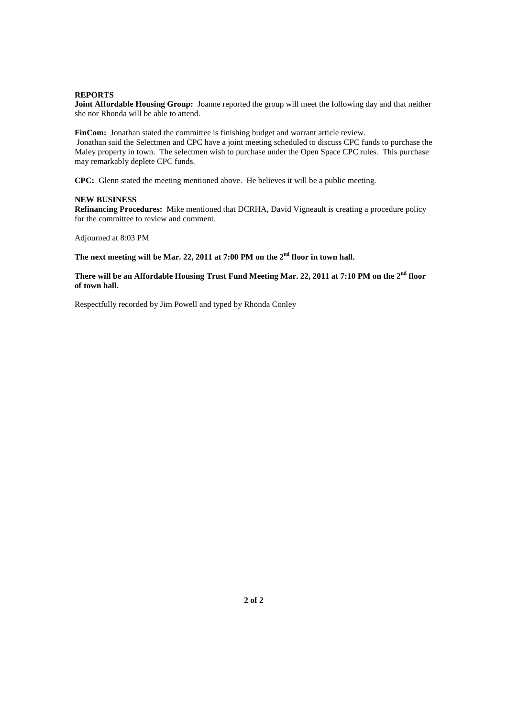### **REPORTS**

**Joint Affordable Housing Group:** Joanne reported the group will meet the following day and that neither she nor Rhonda will be able to attend.

FinCom: Jonathan stated the committee is finishing budget and warrant article review. Jonathan said the Selectmen and CPC have a joint meeting scheduled to discuss CPC funds to purchase the Maley property in town. The selectmen wish to purchase under the Open Space CPC rules. This purchase may remarkably deplete CPC funds.

**CPC:** Glenn stated the meeting mentioned above. He believes it will be a public meeting.

## **NEW BUSINESS**

**Refinancing Procedures:** Mike mentioned that DCRHA, David Vigneault is creating a procedure policy for the committee to review and comment.

Adjourned at 8:03 PM

**The next meeting will be Mar. 22, 2011 at 7:00 PM on the 2nd floor in town hall.** 

# **There will be an Affordable Housing Trust Fund Meeting Mar. 22, 2011 at 7:10 PM on the 2nd floor of town hall.**

Respectfully recorded by Jim Powell and typed by Rhonda Conley